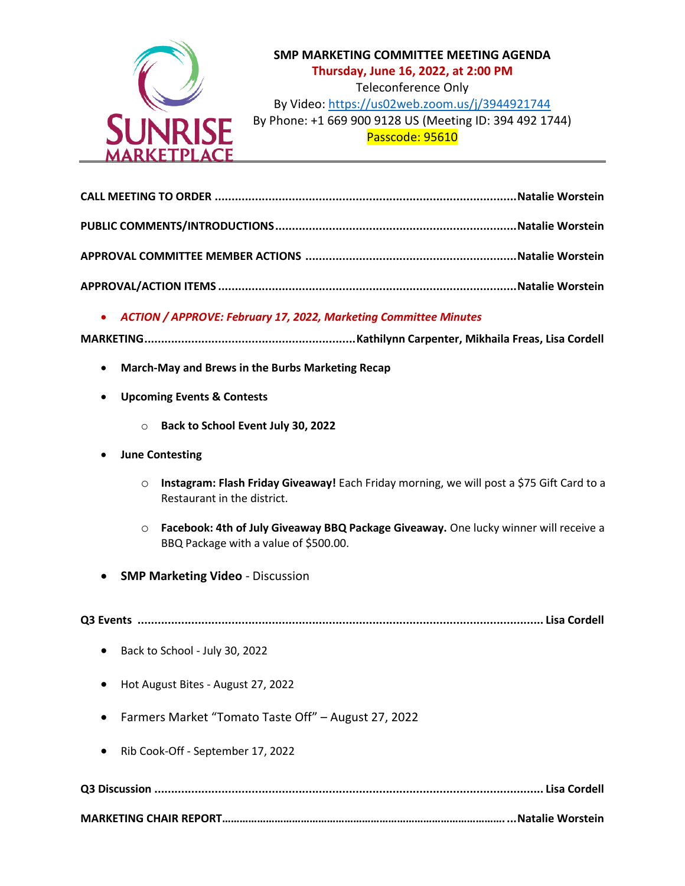

# **SMP MARKETING COMMITTEE MEETING AGENDA Thursday, June 16, 2022, at 2:00 PM** Teleconference Only By Video: <https://us02web.zoom.us/j/3944921744> By Phone: +1 669 900 9128 US (Meeting ID: 394 492 1744) Passcode: 95610

## • *ACTION / APPROVE: February 17, 2022, Marketing Committee Minutes*

- **MARKETING...............................................................Kathilynn Carpenter, Mikhaila Freas, Lisa Cordell**
	- **March-May and Brews in the Burbs Marketing Recap**
	- **Upcoming Events & Contests** 
		- o **Back to School Event July 30, 2022**
	- **June Contesting**
		- o **Instagram: Flash Friday Giveaway!** Each Friday morning, we will post a \$75 Gift Card to a Restaurant in the district.
		- o **Facebook: 4th of July Giveaway BBQ Package Giveaway.** One lucky winner will receive a BBQ Package with a value of \$500.00.
	- **SMP Marketing Video** Discussion

**Q3 Events ......................................................................................................................... Lisa Cordell**

- Back to School July 30, 2022
- Hot August Bites August 27, 2022
- Farmers Market "Tomato Taste Off" August 27, 2022
- Rib Cook-Off September 17, 2022

**Q3 Discussion .................................................................................................................... Lisa Cordell** 

#### **MARKETING CHAIR REPORT……………………………………………………………………………………....Natalie Worstein**